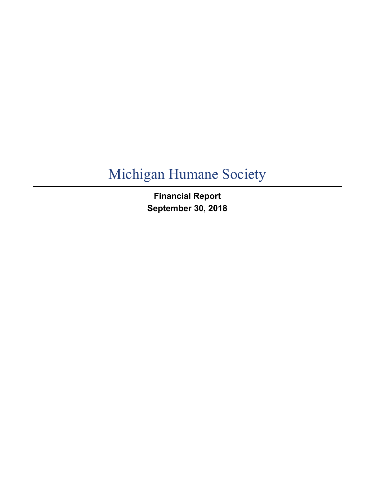**Financial Report September 30, 2018**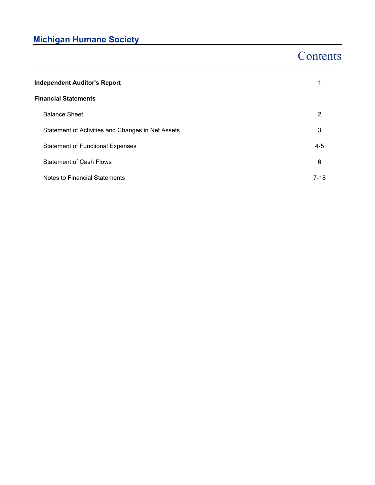# Contents

| <b>Independent Auditor's Report</b>               |         |  |  |  |
|---------------------------------------------------|---------|--|--|--|
| <b>Financial Statements</b>                       |         |  |  |  |
| <b>Balance Sheet</b>                              | 2       |  |  |  |
| Statement of Activities and Changes in Net Assets | 3       |  |  |  |
| <b>Statement of Functional Expenses</b>           | $4 - 5$ |  |  |  |
| <b>Statement of Cash Flows</b>                    | 6       |  |  |  |
| Notes to Financial Statements                     | 7-18    |  |  |  |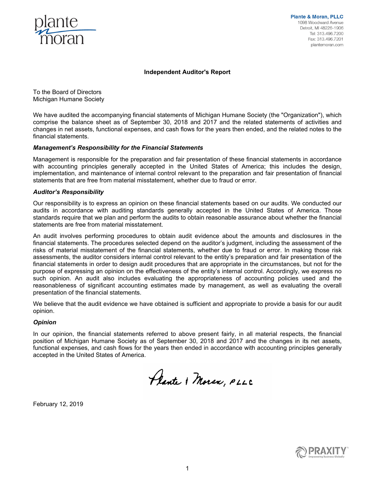

**Plante & Moran, PLLC** 1098 Woodward Avenue Detroit, MI 48226-1906 Tel: 313.496.7200 Fax: 313.496.7201 plantemoran.com

#### **Independent Auditor's Report**

To the Board of Directors Michigan Humane Society

We have audited the accompanying financial statements of Michigan Humane Society (the "Organization"), which comprise the balance sheet as of September 30, 2018 and 2017 and the related statements of activities and changes in net assets, functional expenses, and cash flows for the years then ended, and the related notes to the financial statements.

#### *Management's Responsibility for the Financial Statements*

Management is responsible for the preparation and fair presentation of these financial statements in accordance with accounting principles generally accepted in the United States of America; this includes the design, implementation, and maintenance of internal control relevant to the preparation and fair presentation of financial statements that are free from material misstatement, whether due to fraud or error.

#### *Auditor's Responsibility*

Our responsibility is to express an opinion on these financial statements based on our audits. We conducted our audits in accordance with auditing standards generally accepted in the United States of America. Those standards require that we plan and perform the audits to obtain reasonable assurance about whether the financial statements are free from material misstatement.

An audit involves performing procedures to obtain audit evidence about the amounts and disclosures in the financial statements. The procedures selected depend on the auditor's judgment, including the assessment of the risks of material misstatement of the financial statements, whether due to fraud or error. In making those risk assessments, the auditor considers internal control relevant to the entity's preparation and fair presentation of the financial statements in order to design audit procedures that are appropriate in the circumstances, but not for the purpose of expressing an opinion on the effectiveness of the entity's internal control. Accordingly, we express no such opinion. An audit also includes evaluating the appropriateness of accounting policies used and the reasonableness of significant accounting estimates made by management, as well as evaluating the overall presentation of the financial statements.

We believe that the audit evidence we have obtained is sufficient and appropriate to provide a basis for our audit opinion.

#### *Opinion*

In our opinion, the financial statements referred to above present fairly, in all material respects, the financial position of Michigan Humane Society as of September 30, 2018 and 2017 and the changes in its net assets, functional expenses, and cash flows for the years then ended in accordance with accounting principles generally accepted in the United States of America.

Plante & Moran, PLLC

February 12, 2019

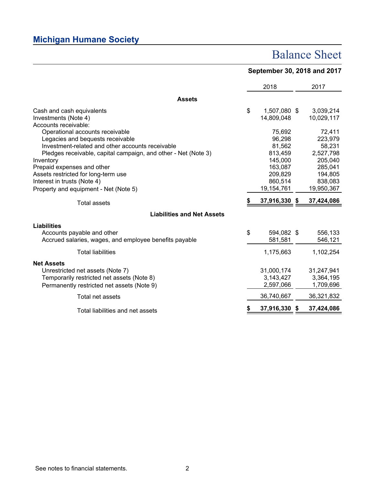## Balance Sheet

## **September 30, 2018 and 2017**

|                                                                                                                                                   | 2018                                 |    | 2017                                 |
|---------------------------------------------------------------------------------------------------------------------------------------------------|--------------------------------------|----|--------------------------------------|
| <b>Assets</b>                                                                                                                                     |                                      |    |                                      |
| Cash and cash equivalents<br>Investments (Note 4)<br>Accounts receivable:                                                                         | \$<br>1,507,080 \$<br>14,809,048     |    | 3,039,214<br>10,029,117              |
| Operational accounts receivable<br>Legacies and bequests receivable<br>Investment-related and other accounts receivable                           | 75,692<br>96,298<br>81,562           |    | 72,411<br>223,979<br>58,231          |
| Pledges receivable, capital campaign, and other - Net (Note 3)<br>Inventory                                                                       | 813,459<br>145,000                   |    | 2,527,798<br>205,040                 |
| Prepaid expenses and other<br>Assets restricted for long-term use<br>Interest in trusts (Note 4)                                                  | 163,087<br>209,829<br>860,514        |    | 285,041<br>194,805<br>838,083        |
| Property and equipment - Net (Note 5)                                                                                                             | 19,154,761                           |    | 19,950,367                           |
| <b>Total assets</b>                                                                                                                               | 37,916,330 \$                        |    | 37,424,086                           |
| <b>Liabilities and Net Assets</b>                                                                                                                 |                                      |    |                                      |
| <b>Liabilities</b><br>Accounts payable and other<br>Accrued salaries, wages, and employee benefits payable                                        | \$<br>594,082 \$<br>581,581          |    | 556,133<br>546,121                   |
| <b>Total liabilities</b>                                                                                                                          | 1,175,663                            |    | 1,102,254                            |
| <b>Net Assets</b><br>Unrestricted net assets (Note 7)<br>Temporarily restricted net assets (Note 8)<br>Permanently restricted net assets (Note 9) | 31,000,174<br>3,143,427<br>2,597,066 |    | 31,247,941<br>3,364,195<br>1,709,696 |
| Total net assets                                                                                                                                  | 36,740,667                           |    | 36,321,832                           |
| Total liabilities and net assets                                                                                                                  | 37,916,330                           | S. | 37,424,086                           |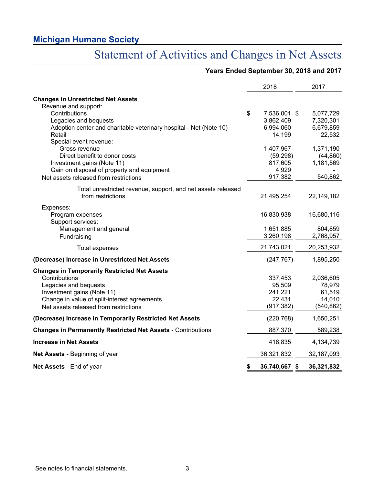# Statement of Activities and Changes in Net Assets

|                                                                     | 2018                | 2017 |              |
|---------------------------------------------------------------------|---------------------|------|--------------|
| <b>Changes in Unrestricted Net Assets</b>                           |                     |      |              |
| Revenue and support:                                                |                     |      |              |
| Contributions                                                       | \$<br>7,536,001 \$  |      | 5,077,729    |
| Legacies and bequests                                               | 3,862,409           |      | 7,320,301    |
| Adoption center and charitable veterinary hospital - Net (Note 10)  | 6,994,060           |      | 6,679,859    |
| Retail                                                              | 14,199              |      | 22,532       |
| Special event revenue:                                              |                     |      |              |
| Gross revenue                                                       | 1,407,967           |      | 1,371,190    |
| Direct benefit to donor costs                                       | (59, 298)           |      | (44, 860)    |
| Investment gains (Note 11)                                          | 817,605             |      | 1,181,569    |
| Gain on disposal of property and equipment                          | 4,929               |      |              |
| Net assets released from restrictions                               | 917,382             |      | 540,862      |
| Total unrestricted revenue, support, and net assets released        |                     |      |              |
| from restrictions                                                   | 21,495,254          |      | 22, 149, 182 |
|                                                                     |                     |      |              |
| Expenses:                                                           |                     |      |              |
| Program expenses                                                    | 16,830,938          |      | 16,680,116   |
| Support services:                                                   |                     |      |              |
| Management and general                                              | 1,651,885           |      | 804,859      |
| Fundraising                                                         | 3,260,198           |      | 2,768,957    |
| Total expenses                                                      | 21,743,021          |      | 20,253,932   |
| (Decrease) Increase in Unrestricted Net Assets                      | (247, 767)          |      | 1,895,250    |
| <b>Changes in Temporarily Restricted Net Assets</b>                 |                     |      |              |
| Contributions                                                       | 337,453             |      | 2,036,605    |
| Legacies and bequests                                               | 95,509              |      | 78,979       |
| Investment gains (Note 11)                                          | 241,221             |      | 61,519       |
| Change in value of split-interest agreements                        | 22,431              |      | 14,010       |
| Net assets released from restrictions                               | (917, 382)          |      | (540, 862)   |
|                                                                     |                     |      |              |
| (Decrease) Increase in Temporarily Restricted Net Assets            | (220, 768)          |      | 1,650,251    |
| <b>Changes in Permanently Restricted Net Assets - Contributions</b> | 887,370             |      | 589,238      |
| <b>Increase in Net Assets</b>                                       | 418,835             |      | 4,134,739    |
| <b>Net Assets - Beginning of year</b>                               | 36,321,832          |      | 32,187,093   |
| <b>Net Assets - End of year</b>                                     | \$<br>36,740,667 \$ |      | 36,321,832   |

## **Years Ended September 30, 2018 and 2017**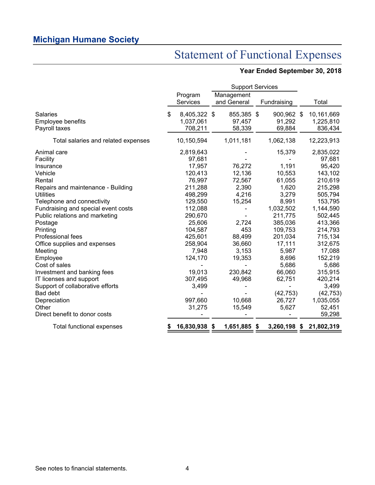# Statement of Functional Expenses

## **Year Ended September 30, 2018**

|                                     |    |              |    | <b>Support Services</b> |    |             |    |            |
|-------------------------------------|----|--------------|----|-------------------------|----|-------------|----|------------|
|                                     |    | Program      |    | Management              |    |             |    |            |
|                                     |    | Services     |    | and General             |    | Fundraising |    | Total      |
| <b>Salaries</b>                     | \$ | 8,405,322 \$ |    | 855,385 \$              |    | 900,962 \$  |    | 10,161,669 |
| Employee benefits                   |    | 1,037,061    |    | 97,457                  |    | 91,292      |    | 1,225,810  |
| Payroll taxes                       |    | 708,211      |    | 58,339                  |    | 69,884      |    | 836,434    |
| Total salaries and related expenses |    | 10,150,594   |    | 1,011,181               |    | 1,062,138   |    | 12,223,913 |
| Animal care                         |    | 2,819,643    |    |                         |    | 15,379      |    | 2,835,022  |
| Facility                            |    | 97,681       |    |                         |    |             |    | 97,681     |
| Insurance                           |    | 17,957       |    | 76,272                  |    | 1,191       |    | 95,420     |
| Vehicle                             |    | 120,413      |    | 12,136                  |    | 10,553      |    | 143,102    |
| Rental                              |    | 76,997       |    | 72,567                  |    | 61,055      |    | 210,619    |
| Repairs and maintenance - Building  |    | 211,288      |    | 2,390                   |    | 1,620       |    | 215,298    |
| <b>Utilities</b>                    |    | 498,299      |    | 4,216                   |    | 3,279       |    | 505,794    |
| Telephone and connectivity          |    | 129,550      |    | 15,254                  |    | 8,991       |    | 153,795    |
| Fundraising and special event costs |    | 112,088      |    |                         |    | 1,032,502   |    | 1,144,590  |
| Public relations and marketing      |    | 290,670      |    |                         |    | 211,775     |    | 502,445    |
| Postage                             |    | 25,606       |    | 2,724                   |    | 385,036     |    | 413,366    |
| Printing                            |    | 104,587      |    | 453                     |    | 109,753     |    | 214,793    |
| Professional fees                   |    | 425,601      |    | 88,499                  |    | 201,034     |    | 715,134    |
| Office supplies and expenses        |    | 258,904      |    | 36,660                  |    | 17,111      |    | 312,675    |
| Meeting                             |    | 7,948        |    | 3,153                   |    | 5,987       |    | 17,088     |
| Employee                            |    | 124,170      |    | 19,353                  |    | 8,696       |    | 152,219    |
| Cost of sales                       |    |              |    |                         |    | 5,686       |    | 5,686      |
| Investment and banking fees         |    | 19,013       |    | 230,842                 |    | 66,060      |    | 315,915    |
| IT licenses and support             |    | 307,495      |    | 49,968                  |    | 62,751      |    | 420,214    |
| Support of collaborative efforts    |    | 3,499        |    |                         |    |             |    | 3,499      |
| Bad debt                            |    |              |    |                         |    | (42, 753)   |    | (42, 753)  |
| Depreciation                        |    | 997,660      |    | 10,668                  |    | 26,727      |    | 1,035,055  |
| Other                               |    | 31,275       |    | 15,549                  |    | 5,627       |    | 52,451     |
| Direct benefit to donor costs       |    |              |    |                         |    |             |    | 59,298     |
| Total functional expenses           |    | 16,830,938   | S. | 1,651,885               | \$ | 3,260,198   | \$ | 21,802,319 |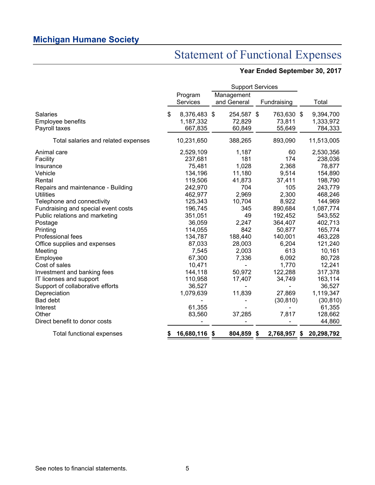# Statement of Functional Expenses

## **Year Ended September 30, 2017**

|                                     |    |              | <b>Support Services</b> |                   |                  |
|-------------------------------------|----|--------------|-------------------------|-------------------|------------------|
|                                     |    | Program      | Management              |                   |                  |
|                                     |    | Services     | and General             | Fundraising       | Total            |
| Salaries                            | \$ | 8,376,483 \$ | 254,587 \$              | 763,630 \$        | 9,394,700        |
| Employee benefits                   |    | 1,187,332    | 72,829                  | 73,811            | 1,333,972        |
| Payroll taxes                       |    | 667,835      | 60,849                  | 55,649            | 784,333          |
| Total salaries and related expenses |    | 10,231,650   | 388,265                 | 893,090           | 11,513,005       |
| Animal care                         |    | 2,529,109    | 1,187                   | 60                | 2,530,356        |
| Facility                            |    | 237,681      | 181                     | 174               | 238,036          |
| Insurance                           |    | 75,481       | 1,028                   | 2,368             | 78,877           |
| Vehicle                             |    | 134,196      | 11,180                  | 9,514             | 154,890          |
| Rental                              |    | 119,506      | 41,873                  | 37,411            | 198,790          |
| Repairs and maintenance - Building  |    | 242,970      | 704                     | 105               | 243,779          |
| <b>Utilities</b>                    |    | 462,977      | 2,969                   | 2,300             | 468,246          |
| Telephone and connectivity          |    | 125,343      | 10,704                  | 8,922             | 144,969          |
| Fundraising and special event costs |    | 196,745      | 345                     | 890,684           | 1,087,774        |
| Public relations and marketing      |    | 351,051      | 49                      | 192,452           | 543,552          |
| Postage                             |    | 36,059       | 2,247                   | 364,407           | 402,713          |
| Printing                            |    | 114,055      | 842                     | 50,877            | 165,774          |
| Professional fees                   |    | 134,787      | 188,440                 | 140,001           | 463,228          |
| Office supplies and expenses        |    | 87,033       | 28,003                  | 6,204             | 121,240          |
| Meeting                             |    | 7,545        | 2,003                   | 613               | 10,161           |
| Employee                            |    | 67,300       | 7,336                   | 6,092             | 80,728           |
| Cost of sales                       |    | 10,471       |                         | 1,770             | 12,241           |
| Investment and banking fees         |    | 144,118      | 50,972                  | 122,288           | 317,378          |
| IT licenses and support             |    | 110,958      | 17,407                  | 34,749            | 163,114          |
| Support of collaborative efforts    |    | 36,527       |                         |                   | 36,527           |
| Depreciation                        |    | 1,079,639    | 11,839                  | 27,869            | 1,119,347        |
| <b>Bad debt</b>                     |    |              |                         | (30, 810)         | (30, 810)        |
| Interest                            |    | 61,355       |                         |                   | 61,355           |
| Other                               |    | 83,560       | 37,285                  | 7,817             | 128,662          |
| Direct benefit to donor costs       |    |              |                         |                   | 44,860           |
| Total functional expenses           |    | 16,680,116   | 804,859<br>\$           | 2,768,957<br>- \$ | \$<br>20,298,792 |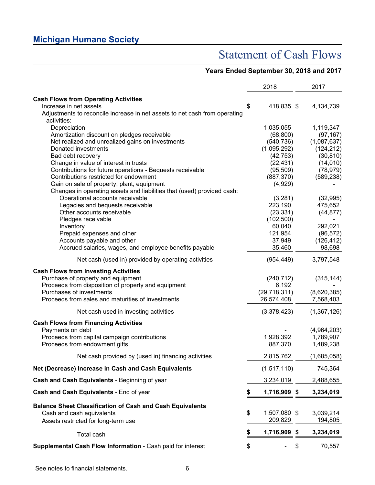## Statement of Cash Flows

## **Years Ended September 30, 2018 and 2017**

|                                                                            | 2018               | 2017         |
|----------------------------------------------------------------------------|--------------------|--------------|
| <b>Cash Flows from Operating Activities</b>                                |                    |              |
| Increase in net assets                                                     | \$<br>418,835 \$   | 4,134,739    |
| Adjustments to reconcile increase in net assets to net cash from operating |                    |              |
| activities:                                                                |                    |              |
| Depreciation                                                               | 1,035,055          | 1,119,347    |
| Amortization discount on pledges receivable                                | (68, 800)          | (97, 167)    |
| Net realized and unrealized gains on investments                           | (540, 736)         | (1,087,637)  |
| Donated investments                                                        | (1,095,292)        | (124, 212)   |
| Bad debt recovery                                                          | (42, 753)          | (30, 810)    |
| Change in value of interest in trusts                                      | (22, 431)          | (14, 010)    |
| Contributions for future operations - Bequests receivable                  | (95, 509)          | (78, 979)    |
| Contributions restricted for endowment                                     | (887, 370)         | (589, 238)   |
| Gain on sale of property, plant, equipment                                 | (4,929)            |              |
| Changes in operating assets and liabilities that (used) provided cash:     |                    |              |
|                                                                            |                    |              |
| Operational accounts receivable                                            | (3,281)            | (32, 995)    |
| Legacies and bequests receivable                                           | 223,190            | 475,652      |
| Other accounts receivable                                                  | (23, 331)          | (44, 877)    |
| Pledges receivable                                                         | (102, 500)         |              |
| Inventory                                                                  | 60,040             | 292,021      |
| Prepaid expenses and other                                                 | 121,954            | (96, 572)    |
| Accounts payable and other                                                 | 37,949             | (126, 412)   |
| Accrued salaries, wages, and employee benefits payable                     | 35,460             | 98,698       |
| Net cash (used in) provided by operating activities                        | (954, 449)         | 3,797,548    |
| <b>Cash Flows from Investing Activities</b>                                |                    |              |
| Purchase of property and equipment                                         | (240, 712)         | (315, 144)   |
| Proceeds from disposition of property and equipment                        | 6,192              |              |
| Purchases of investments                                                   | (29, 718, 311)     | (8,620,385)  |
| Proceeds from sales and maturities of investments                          | 26,574,408         | 7,568,403    |
|                                                                            |                    |              |
| Net cash used in investing activities                                      | (3,378,423)        | (1,367,126)  |
| <b>Cash Flows from Financing Activities</b>                                |                    |              |
| Payments on debt                                                           |                    | (4,964,203)  |
| Proceeds from capital campaign contributions                               | 1,928,392          | 1,789,907    |
| Proceeds from endowment gifts                                              | 887,370            | 1,489,238    |
| Net cash provided by (used in) financing activities                        | 2,815,762          | (1,685,058)  |
| Net (Decrease) Increase in Cash and Cash Equivalents                       | (1,517,110)        | 745,364      |
| Cash and Cash Equivalents - Beginning of year                              | 3,234,019          | 2,488,655    |
| Cash and Cash Equivalents - End of year                                    | \$<br>1,716,909 \$ | 3,234,019    |
|                                                                            |                    |              |
| <b>Balance Sheet Classification of Cash and Cash Equivalents</b>           | \$                 |              |
| Cash and cash equivalents                                                  | 1,507,080 \$       | 3,039,214    |
| Assets restricted for long-term use                                        | 209,829            | 194,805      |
| Total cash                                                                 | \$<br>1,716,909 \$ | 3,234,019    |
| Supplemental Cash Flow Information - Cash paid for interest                | \$                 | \$<br>70,557 |
|                                                                            |                    |              |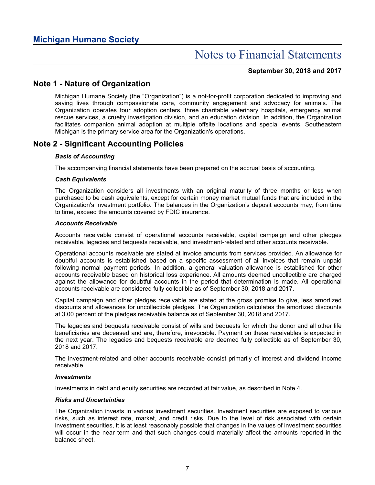### **September 30, 2018 and 2017**

### **Note 1 - Nature of Organization**

Michigan Humane Society (the "Organization") is a not-for-profit corporation dedicated to improving and saving lives through compassionate care, community engagement and advocacy for animals. The Organization operates four adoption centers, three charitable veterinary hospitals, emergency animal rescue services, a cruelty investigation division, and an education division. In addition, the Organization facilitates companion animal adoption at multiple offsite locations and special events. Southeastern Michigan is the primary service area for the Organization's operations.

## **Note 2 - Significant Accounting Policies**

#### *Basis of Accounting*

The accompanying financial statements have been prepared on the accrual basis of accounting.

#### *Cash Equivalents*

The Organization considers all investments with an original maturity of three months or less when purchased to be cash equivalents, except for certain money market mutual funds that are included in the Organization's investment portfolio. The balances in the Organization's deposit accounts may, from time to time, exceed the amounts covered by FDIC insurance.

#### *Accounts Receivable*

Accounts receivable consist of operational accounts receivable, capital campaign and other pledges receivable, legacies and bequests receivable, and investment-related and other accounts receivable.

Operational accounts receivable are stated at invoice amounts from services provided. An allowance for doubtful accounts is established based on a specific assessment of all invoices that remain unpaid following normal payment periods. In addition, a general valuation allowance is established for other accounts receivable based on historical loss experience. All amounts deemed uncollectible are charged against the allowance for doubtful accounts in the period that determination is made. All operational accounts receivable are considered fully collectible as of September 30, 2018 and 2017.

Capital campaign and other pledges receivable are stated at the gross promise to give, less amortized discounts and allowances for uncollectible pledges. The Organization calculates the amortized discounts at 3.00 percent of the pledges receivable balance as of September 30, 2018 and 2017.

The legacies and bequests receivable consist of wills and bequests for which the donor and all other life beneficiaries are deceased and are, therefore, irrevocable. Payment on these receivables is expected in the next year. The legacies and bequests receivable are deemed fully collectible as of September 30, 2018 and 2017.

The investment-related and other accounts receivable consist primarily of interest and dividend income receivable.

#### *Investments*

Investments in debt and equity securities are recorded at fair value, as described in Note 4.

#### *Risks and Uncertainties*

The Organization invests in various investment securities. Investment securities are exposed to various risks, such as interest rate, market, and credit risks. Due to the level of risk associated with certain investment securities, it is at least reasonably possible that changes in the values of investment securities will occur in the near term and that such changes could materially affect the amounts reported in the balance sheet.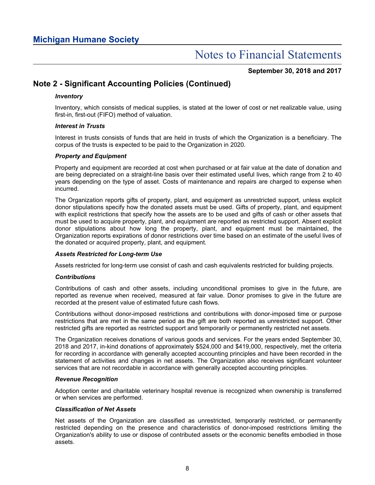**September 30, 2018 and 2017**

## **Note 2 - Significant Accounting Policies (Continued)**

#### *Inventory*

Inventory, which consists of medical supplies, is stated at the lower of cost or net realizable value, using first-in, first-out (FIFO) method of valuation.

#### *Interest in Trusts*

Interest in trusts consists of funds that are held in trusts of which the Organization is a beneficiary. The corpus of the trusts is expected to be paid to the Organization in 2020.

#### *Property and Equipment*

Property and equipment are recorded at cost when purchased or at fair value at the date of donation and are being depreciated on a straight-line basis over their estimated useful lives, which range from 2 to 40 years depending on the type of asset. Costs of maintenance and repairs are charged to expense when incurred.

The Organization reports gifts of property, plant, and equipment as unrestricted support, unless explicit donor stipulations specify how the donated assets must be used. Gifts of property, plant, and equipment with explicit restrictions that specify how the assets are to be used and gifts of cash or other assets that must be used to acquire property, plant, and equipment are reported as restricted support. Absent explicit donor stipulations about how long the property, plant, and equipment must be maintained, the Organization reports expirations of donor restrictions over time based on an estimate of the useful lives of the donated or acquired property, plant, and equipment.

#### *Assets Restricted for Long-term Use*

Assets restricted for long-term use consist of cash and cash equivalents restricted for building projects.

#### *Contributions*

Contributions of cash and other assets, including unconditional promises to give in the future, are reported as revenue when received, measured at fair value. Donor promises to give in the future are recorded at the present value of estimated future cash flows.

Contributions without donor-imposed restrictions and contributions with donor-imposed time or purpose restrictions that are met in the same period as the gift are both reported as unrestricted support. Other restricted gifts are reported as restricted support and temporarily or permanently restricted net assets.

The Organization receives donations of various goods and services. For the years ended September 30, 2018 and 2017, in-kind donations of approximately \$524,000 and \$419,000, respectively, met the criteria for recording in accordance with generally accepted accounting principles and have been recorded in the statement of activities and changes in net assets. The Organization also receives significant volunteer services that are not recordable in accordance with generally accepted accounting principles.

#### *Revenue Recognition*

Adoption center and charitable veterinary hospital revenue is recognized when ownership is transferred or when services are performed.

#### *Classification of Net Assets*

Net assets of the Organization are classified as unrestricted, temporarily restricted, or permanently restricted depending on the presence and characteristics of donor-imposed restrictions limiting the Organization's ability to use or dispose of contributed assets or the economic benefits embodied in those assets.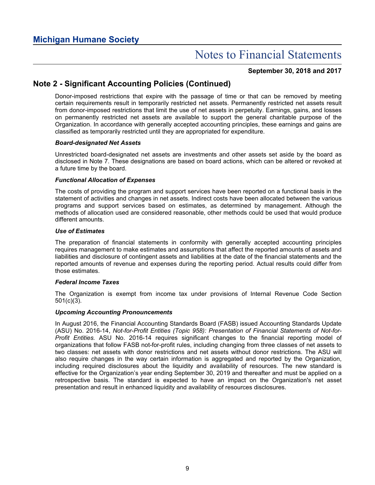#### **September 30, 2018 and 2017**

## **Note 2 - Significant Accounting Policies (Continued)**

Donor-imposed restrictions that expire with the passage of time or that can be removed by meeting certain requirements result in temporarily restricted net assets. Permanently restricted net assets result from donor-imposed restrictions that limit the use of net assets in perpetuity. Earnings, gains, and losses on permanently restricted net assets are available to support the general charitable purpose of the Organization. In accordance with generally accepted accounting principles, these earnings and gains are classified as temporarily restricted until they are appropriated for expenditure.

#### *Board-designated Net Assets*

Unrestricted board-designated net assets are investments and other assets set aside by the board as disclosed in Note 7. These designations are based on board actions, which can be altered or revoked at a future time by the board.

#### *Functional Allocation of Expenses*

The costs of providing the program and support services have been reported on a functional basis in the statement of activities and changes in net assets. Indirect costs have been allocated between the various programs and support services based on estimates, as determined by management. Although the methods of allocation used are considered reasonable, other methods could be used that would produce different amounts.

#### *Use of Estimates*

The preparation of financial statements in conformity with generally accepted accounting principles requires management to make estimates and assumptions that affect the reported amounts of assets and liabilities and disclosure of contingent assets and liabilities at the date of the financial statements and the reported amounts of revenue and expenses during the reporting period. Actual results could differ from those estimates.

#### *Federal Income Taxes*

The Organization is exempt from income tax under provisions of Internal Revenue Code Section 501(c)(3).

#### *Upcoming Accounting Pronouncements*

In August 2016, the Financial Accounting Standards Board (FASB) issued Accounting Standards Update (ASU) No. 2016-14, *Not-for-Profit Entities (Topic 958): Presentation of Financial Statements of Not-for-Profit Entities.* ASU No. 2016-14 requires significant changes to the financial reporting model of organizations that follow FASB not-for-profit rules, including changing from three classes of net assets to two classes: net assets with donor restrictions and net assets without donor restrictions. The ASU will also require changes in the way certain information is aggregated and reported by the Organization, including required disclosures about the liquidity and availability of resources. The new standard is effective for the Organization's year ending September 30, 2019 and thereafter and must be applied on a retrospective basis. The standard is expected to have an impact on the Organization's net asset presentation and result in enhanced liquidity and availability of resources disclosures.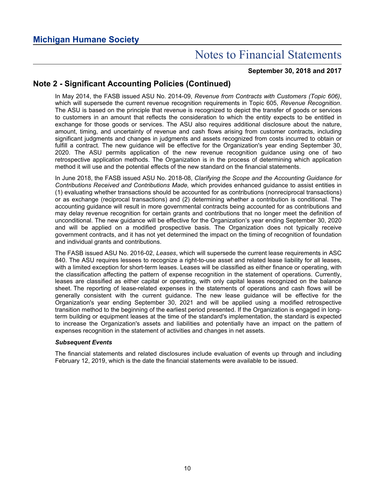### **September 30, 2018 and 2017**

## **Note 2 - Significant Accounting Policies (Continued)**

In May 2014, the FASB issued ASU No. 2014-09, *Revenue from Contracts with Customers (Topic 606)*, which will supersede the current revenue recognition requirements in Topic 605, *Revenue Recognition*. The ASU is based on the principle that revenue is recognized to depict the transfer of goods or services to customers in an amount that reflects the consideration to which the entity expects to be entitled in exchange for those goods or services. The ASU also requires additional disclosure about the nature, amount, timing, and uncertainty of revenue and cash flows arising from customer contracts, including significant judgments and changes in judgments and assets recognized from costs incurred to obtain or fulfill a contract. The new guidance will be effective for the Organization's year ending September 30, 2020. The ASU permits application of the new revenue recognition guidance using one of two retrospective application methods. The Organization is in the process of determining which application method it will use and the potential effects of the new standard on the financial statements.

In June 2018, the FASB issued ASU No. 2018-08, *Clarifying the Scope and the Accounting Guidance for Contributions Received and Contributions Made,* which provides enhanced guidance to assist entities in (1) evaluating whether transactions should be accounted for as contributions (nonreciprocal transactions) or as exchange (reciprocal transactions) and (2) determining whether a contribution is conditional. The accounting guidance will result in more governmental contracts being accounted for as contributions and may delay revenue recognition for certain grants and contributions that no longer meet the definition of unconditional. The new guidance will be effective for the Organization's year ending September 30, 2020 and will be applied on a modified prospective basis. The Organization does not typically receive government contracts, and it has not yet determined the impact on the timing of recognition of foundation and individual grants and contributions.

The FASB issued ASU No. 2016-02, *Leases*, which will supersede the current lease requirements in ASC 840. The ASU requires lessees to recognize a right-to-use asset and related lease liability for all leases, with a limited exception for short-term leases. Leases will be classified as either finance or operating, with the classification affecting the pattern of expense recognition in the statement of operations. Currently, leases are classified as either capital or operating, with only capital leases recognized on the balance sheet. The reporting of lease-related expenses in the statements of operations and cash flows will be generally consistent with the current guidance. The new lease guidance will be effective for the Organization's year ending September 30, 2021 and will be applied using a modified retrospective transition method to the beginning of the earliest period presented. If the Organization is engaged in longterm building or equipment leases at the time of the standard's implementation, the standard is expected to increase the Organization's assets and liabilities and potentially have an impact on the pattern of expenses recognition in the statement of activities and changes in net assets.

#### *Subsequent Events*

The financial statements and related disclosures include evaluation of events up through and including February 12, 2019, which is the date the financial statements were available to be issued.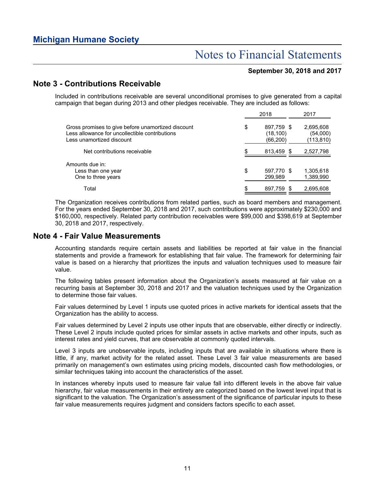## Notes to Financial Statements

### **September 30, 2018 and 2017**

## **Note 3 - Contributions Receivable**

Included in contributions receivable are several unconditional promises to give generated from a capital campaign that began during 2013 and other pledges receivable. They are included as follows:

|                                                                                                                                   | 2018                                     | 2017                               |
|-----------------------------------------------------------------------------------------------------------------------------------|------------------------------------------|------------------------------------|
| Gross promises to give before unamortized discount<br>Less allowance for uncollectible contributions<br>Less unamortized discount | \$<br>897,759 \$<br>(18,100)<br>(66,200) | 2,695,608<br>(54,000)<br>(113,810) |
| Net contributions receivable                                                                                                      | \$<br>813,459 \$                         | 2,527,798                          |
| Amounts due in:<br>Less than one year<br>One to three years                                                                       | \$<br>597.770 \$<br>299,989              | 1,305,618<br>1,389,990             |
| Total                                                                                                                             | \$<br>897.759                            | 2,695,608                          |

The Organization receives contributions from related parties, such as board members and management. For the years ended September 30, 2018 and 2017, such contributions were approximately \$230,000 and \$160,000, respectively. Related party contribution receivables were \$99,000 and \$398,619 at September 30, 2018 and 2017, respectively.

### **Note 4 - Fair Value Measurements**

Accounting standards require certain assets and liabilities be reported at fair value in the financial statements and provide a framework for establishing that fair value. The framework for determining fair value is based on a hierarchy that prioritizes the inputs and valuation techniques used to measure fair value.

The following tables present information about the Organization's assets measured at fair value on a recurring basis at September 30, 2018 and 2017 and the valuation techniques used by the Organization to determine those fair values.

Fair values determined by Level 1 inputs use quoted prices in active markets for identical assets that the Organization has the ability to access.

Fair values determined by Level 2 inputs use other inputs that are observable, either directly or indirectly. These Level 2 inputs include quoted prices for similar assets in active markets and other inputs, such as interest rates and yield curves, that are observable at commonly quoted intervals.

Level 3 inputs are unobservable inputs, including inputs that are available in situations where there is little, if any, market activity for the related asset. These Level 3 fair value measurements are based primarily on management's own estimates using pricing models, discounted cash flow methodologies, or similar techniques taking into account the characteristics of the asset.

In instances whereby inputs used to measure fair value fall into different levels in the above fair value hierarchy, fair value measurements in their entirety are categorized based on the lowest level input that is significant to the valuation. The Organization's assessment of the significance of particular inputs to these fair value measurements requires judgment and considers factors specific to each asset.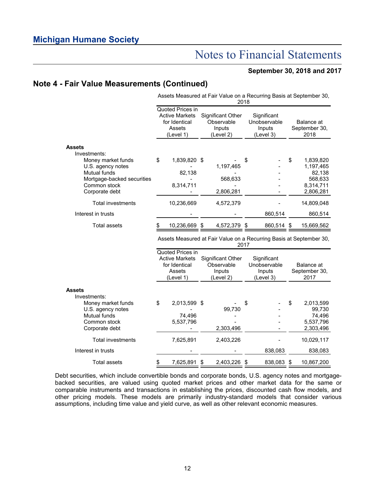### **September 30, 2018 and 2017**

## **Note 4 - Fair Value Measurements (Continued)**

|                                                                                           | Assets Measured at Fair Value on a Recurring Basis at September 30,<br>2018 |                                                                                   |  |                                                        |    |                                                                             |    |                                                         |  |  |  |  |
|-------------------------------------------------------------------------------------------|-----------------------------------------------------------------------------|-----------------------------------------------------------------------------------|--|--------------------------------------------------------|----|-----------------------------------------------------------------------------|----|---------------------------------------------------------|--|--|--|--|
|                                                                                           |                                                                             | Quoted Prices in<br><b>Active Markets</b><br>for Identical<br>Assets<br>(Level 1) |  | Significant Other<br>Observable<br>Inputs<br>(Level 2) |    | Significant<br>Unobservable<br>Inputs<br>(Level 3)                          |    | Balance at<br>September 30,<br>2018                     |  |  |  |  |
| <b>Assets</b><br>Investments:                                                             |                                                                             |                                                                                   |  |                                                        |    |                                                                             |    |                                                         |  |  |  |  |
| Money market funds<br>U.S. agency notes<br>Mutual funds<br>Mortgage-backed securities     | \$                                                                          | 1,839,820 \$<br>82,138                                                            |  | 1,197,465<br>568,633                                   | S  |                                                                             | S  | 1,839,820<br>1,197,465<br>82,138<br>568,633             |  |  |  |  |
| Common stock<br>Corporate debt                                                            |                                                                             | 8,314,711                                                                         |  | 2,806,281                                              |    |                                                                             |    | 8,314,711<br>2,806,281                                  |  |  |  |  |
| <b>Total investments</b>                                                                  |                                                                             | 10,236,669                                                                        |  | 4,572,379                                              |    |                                                                             |    | 14,809,048                                              |  |  |  |  |
| Interest in trusts                                                                        |                                                                             |                                                                                   |  |                                                        |    | 860,514                                                                     |    | 860,514                                                 |  |  |  |  |
| Total assets                                                                              | \$                                                                          | 10,236,669 \$                                                                     |  | 4,572,379                                              | \$ | 860,514 \$                                                                  |    | 15,669,562                                              |  |  |  |  |
|                                                                                           |                                                                             |                                                                                   |  |                                                        |    | Assets Measured at Fair Value on a Recurring Basis at September 30,<br>2017 |    |                                                         |  |  |  |  |
|                                                                                           |                                                                             |                                                                                   |  |                                                        |    |                                                                             |    |                                                         |  |  |  |  |
|                                                                                           |                                                                             | Quoted Prices in<br><b>Active Markets</b><br>for Identical<br>Assets<br>(Level 1) |  | Significant Other<br>Observable<br>Inputs<br>(Level 2) |    | Significant<br>Unobservable<br>Inputs<br>(Level 3)                          |    | Balance at<br>September 30,<br>2017                     |  |  |  |  |
| <b>Assets</b><br>Investments:                                                             |                                                                             |                                                                                   |  |                                                        |    |                                                                             |    |                                                         |  |  |  |  |
| Money market funds<br>U.S. agency notes<br>Mutual funds<br>Common stock<br>Corporate debt | \$                                                                          | 2,013,599 \$<br>74,496<br>5,537,796                                               |  | 99,730<br>2,303,496                                    | S  |                                                                             | \$ | 2,013,599<br>99,730<br>74,496<br>5,537,796<br>2,303,496 |  |  |  |  |
| <b>Total investments</b>                                                                  |                                                                             | 7,625,891                                                                         |  | 2,403,226                                              |    |                                                                             |    | 10,029,117                                              |  |  |  |  |
| Interest in trusts                                                                        |                                                                             |                                                                                   |  |                                                        |    | 838,083                                                                     |    | 838,083                                                 |  |  |  |  |

Debt securities, which include convertible bonds and corporate bonds, U.S. agency notes and mortgagebacked securities, are valued using quoted market prices and other market data for the same or comparable instruments and transactions in establishing the prices, discounted cash flow models, and other pricing models. These models are primarily industry-standard models that consider various assumptions, including time value and yield curve, as well as other relevant economic measures.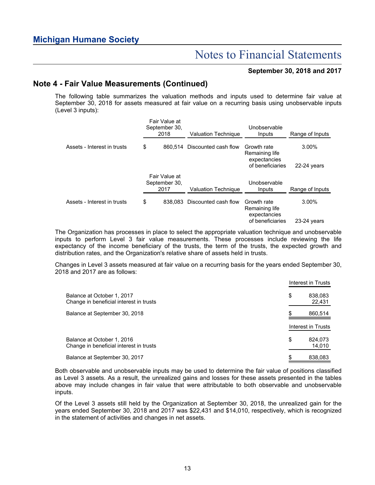### **September 30, 2018 and 2017**

## **Note 4 - Fair Value Measurements (Continued)**

The following table summarizes the valuation methods and inputs used to determine fair value at September 30, 2018 for assets measured at fair value on a recurring basis using unobservable inputs (Level 3 inputs):

|                             | Fair Value at<br>September 30,<br>2018 | <b>Valuation Technique</b>   | Unobservable<br>Inputs                        | Range of Inputs |
|-----------------------------|----------------------------------------|------------------------------|-----------------------------------------------|-----------------|
| Assets - Interest in trusts | \$                                     | 860.514 Discounted cash flow | Growth rate<br>Remaining life<br>expectancies | 3.00%           |
|                             |                                        |                              | of beneficiaries                              | $22-24$ years   |
|                             | Fair Value at<br>September 30,         |                              | Unobservable                                  |                 |
|                             | 2017                                   | <b>Valuation Technique</b>   | Inputs                                        | Range of Inputs |
| Assets - Interest in trusts | \$                                     | 838.083 Discounted cash flow | Growth rate<br>Remaining life<br>expectancies | 3.00%           |
|                             |                                        |                              | of beneficiaries                              | $23-24$ years   |

The Organization has processes in place to select the appropriate valuation technique and unobservable inputs to perform Level 3 fair value measurements. These processes include reviewing the life expectancy of the income beneficiary of the trusts, the term of the trusts, the expected growth and distribution rates, and the Organization's relative share of assets held in trusts.

Changes in Level 3 assets measured at fair value on a recurring basis for the years ended September 30, 2018 and 2017 are as follows:

|                                                                       | Interest in Trusts      |
|-----------------------------------------------------------------------|-------------------------|
| Balance at October 1, 2017<br>Change in beneficial interest in trusts | \$<br>838,083<br>22,431 |
| Balance at September 30, 2018                                         | \$<br>860,514           |
|                                                                       | Interest in Trusts      |
| Balance at October 1, 2016<br>Change in beneficial interest in trusts | \$<br>824,073<br>14,010 |
| Balance at September 30, 2017                                         | \$<br>838,083           |

Both observable and unobservable inputs may be used to determine the fair value of positions classified as Level 3 assets. As a result, the unrealized gains and losses for these assets presented in the tables above may include changes in fair value that were attributable to both observable and unobservable inputs.

Of the Level 3 assets still held by the Organization at September 30, 2018, the unrealized gain for the years ended September 30, 2018 and 2017 was \$22,431 and \$14,010, respectively, which is recognized in the statement of activities and changes in net assets.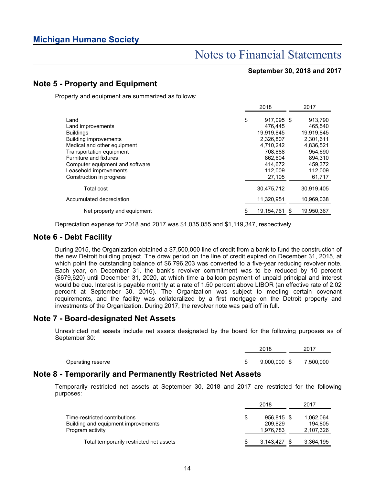#### **September 30, 2018 and 2017**

## **Note 5 - Property and Equipment**

Property and equipment are summarized as follows:

|                                 | 2018                | 2017       |
|---------------------------------|---------------------|------------|
| Land                            | \$<br>917.095 \$    | 913,790    |
| Land improvements               | 476.445             | 465.540    |
| <b>Buildings</b>                | 19.919.845          | 19,919,845 |
| <b>Building improvements</b>    | 2,326,807           | 2,301,611  |
| Medical and other equipment     | 4,710,242           | 4,836,521  |
| Transportation equipment        | 708.888             | 954,690    |
| <b>Furniture and fixtures</b>   | 862,604             | 894,310    |
| Computer equipment and software | 414.672             | 459,372    |
| Leasehold improvements          | 112.009             | 112,009    |
| Construction in progress        | 27,105              | 61,717     |
| Total cost                      | 30,475,712          | 30.919.405 |
| Accumulated depreciation        | 11,320,951          | 10,969,038 |
| Net property and equipment      | \$<br>19.154.761 \$ | 19.950.367 |

Depreciation expense for 2018 and 2017 was \$1,035,055 and \$1,119,347, respectively.

## **Note 6 - Debt Facility**

During 2015, the Organization obtained a \$7,500,000 line of credit from a bank to fund the construction of the new Detroit building project. The draw period on the line of credit expired on December 31, 2015, at which point the outstanding balance of \$6,796,203 was converted to a five-year reducing revolver note. Each year, on December 31, the bank's revolver commitment was to be reduced by 10 percent (\$679,620) until December 31, 2020, at which time a balloon payment of unpaid principal and interest would be due. Interest is payable monthly at a rate of 1.50 percent above LIBOR (an effective rate of 2.02 percent at September 30, 2016). The Organization was subject to meeting certain covenant requirements, and the facility was collateralized by a first mortgage on the Detroit property and investments of the Organization. During 2017, the revolver note was paid off in full.

### **Note 7 - Board-designated Net Assets**

Operating reserve

Unrestricted net assets include net assets designated by the board for the following purposes as of September 30:

|   | 2018      | 2017      |
|---|-----------|-----------|
| S | 9.000.000 | 7.500.000 |

### **Note 8 - Temporarily and Permanently Restricted Net Assets**

Temporarily restricted net assets at September 30, 2018 and 2017 are restricted for the following purposes:

|                                                                                          | 2018                                     | 2017                              |
|------------------------------------------------------------------------------------------|------------------------------------------|-----------------------------------|
| Time-restricted contributions<br>Building and equipment improvements<br>Program activity | \$<br>956.815 \$<br>209.829<br>1.976.783 | 1,062,064<br>194.805<br>2,107,326 |
| Total temporarily restricted net assets                                                  | $3.143.427$ \$                           | 3,364,195                         |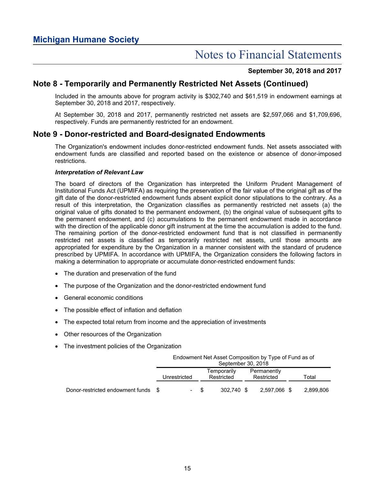### **September 30, 2018 and 2017**

## **Note 8 - Temporarily and Permanently Restricted Net Assets (Continued)**

Included in the amounts above for program activity is \$302,740 and \$61,519 in endowment earnings at September 30, 2018 and 2017, respectively.

At September 30, 2018 and 2017, permanently restricted net assets are \$2,597,066 and \$1,709,696, respectively. Funds are permanently restricted for an endowment.

### **Note 9 - Donor-restricted and Board-designated Endowments**

The Organization's endowment includes donor-restricted endowment funds. Net assets associated with endowment funds are classified and reported based on the existence or absence of donor-imposed restrictions.

#### *Interpretation of Relevant Law*

The board of directors of the Organization has interpreted the Uniform Prudent Management of Institutional Funds Act (UPMIFA) as requiring the preservation of the fair value of the original gift as of the gift date of the donor-restricted endowment funds absent explicit donor stipulations to the contrary. As a result of this interpretation, the Organization classifies as permanently restricted net assets (a) the original value of gifts donated to the permanent endowment, (b) the original value of subsequent gifts to the permanent endowment, and (c) accumulations to the permanent endowment made in accordance with the direction of the applicable donor gift instrument at the time the accumulation is added to the fund. The remaining portion of the donor-restricted endowment fund that is not classified in permanently restricted net assets is classified as temporarily restricted net assets, until those amounts are appropriated for expenditure by the Organization in a manner consistent with the standard of prudence prescribed by UPMIFA. In accordance with UPMIFA, the Organization considers the following factors in making a determination to appropriate or accumulate donor-restricted endowment funds:

- The duration and preservation of the fund
- The purpose of the Organization and the donor-restricted endowment fund
- General economic conditions
- The possible effect of inflation and deflation
- The expected total return from income and the appreciation of investments
- Other resources of the Organization
- The investment policies of the Organization

|                                     | Endowment Net Asset Composition by Type of Fund as of<br>September 30, 2018 |              |                           |            |  |                           |  |           |  |
|-------------------------------------|-----------------------------------------------------------------------------|--------------|---------------------------|------------|--|---------------------------|--|-----------|--|
|                                     |                                                                             | Unrestricted | Temporarilv<br>Restricted |            |  | Permanently<br>Restricted |  | Total     |  |
| Donor-restricted endowment funds \$ |                                                                             | $-$ \$       |                           | 302.740 \$ |  | 2.597.066 \$              |  | 2.899.806 |  |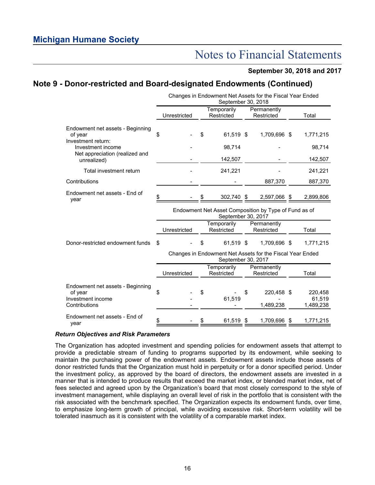### **September 30, 2018 and 2017**

## **Note 9 - Donor-restricted and Board-designated Endowments (Continued)**

|                                                                   | Changes in Endowment Net Assets for the Fiscal Year Ended<br>September 30, 2018 |              |    |                           |    |                                                           |    |                     |
|-------------------------------------------------------------------|---------------------------------------------------------------------------------|--------------|----|---------------------------|----|-----------------------------------------------------------|----|---------------------|
|                                                                   |                                                                                 | Unrestricted |    | Temporarily<br>Restricted |    | Permanently<br>Restricted                                 |    | Total               |
| Endowment net assets - Beginning<br>of year<br>Investment return: | \$                                                                              |              | \$ | 61,519 \$                 |    | 1,709,696 \$                                              |    | 1,771,215           |
| Investment income<br>Net appreciation (realized and               |                                                                                 |              |    | 98,714                    |    |                                                           |    | 98,714              |
| unrealized)                                                       |                                                                                 |              |    | 142,507                   |    |                                                           |    | 142,507             |
| Total investment return                                           |                                                                                 |              |    | 241,221                   |    |                                                           |    | 241,221             |
| Contributions                                                     |                                                                                 |              |    |                           |    | 887,370                                                   |    | 887,370             |
| Endowment net assets - End of<br>year                             |                                                                                 |              |    | 302,740                   | S  | 2,597,066                                                 | \$ | 2,899,806           |
|                                                                   | Endowment Net Asset Composition by Type of Fund as of<br>September 30, 2017     |              |    |                           |    |                                                           |    |                     |
|                                                                   |                                                                                 | Unrestricted |    | Temporarily<br>Restricted |    | Permanently<br>Restricted                                 |    | Total               |
| Donor-restricted endowment funds                                  | \$                                                                              |              | \$ | 61,519 \$                 |    | 1,709,696 \$                                              |    | 1,771,215           |
|                                                                   |                                                                                 |              |    | September 30, 2017        |    | Changes in Endowment Net Assets for the Fiscal Year Ended |    |                     |
|                                                                   |                                                                                 | Unrestricted |    | Temporarily<br>Restricted |    | Permanently<br>Restricted                                 |    | Total               |
| Endowment net assets - Beginning                                  |                                                                                 |              |    |                           |    |                                                           |    |                     |
| of year                                                           | \$                                                                              |              | \$ |                           | \$ | 220,458 \$                                                |    | 220,458             |
| Investment income<br>Contributions                                |                                                                                 |              |    | 61,519                    |    | 1,489,238                                                 |    | 61,519<br>1,489,238 |
| Endowment net assets - End of<br>year                             | \$                                                                              |              | \$ | 61,519                    | \$ | 1,709,696                                                 | \$ | 1,771,215           |

#### *Return Objectives and Risk Parameters*

The Organization has adopted investment and spending policies for endowment assets that attempt to provide a predictable stream of funding to programs supported by its endowment, while seeking to maintain the purchasing power of the endowment assets. Endowment assets include those assets of donor restricted funds that the Organization must hold in perpetuity or for a donor specified period. Under the investment policy, as approved by the board of directors, the endowment assets are invested in a manner that is intended to produce results that exceed the market index, or blended market index, net of fees selected and agreed upon by the Organization's board that most closely correspond to the style of investment management, while displaying an overall level of risk in the portfolio that is consistent with the risk associated with the benchmark specified. The Organization expects its endowment funds, over time, to emphasize long-term growth of principal, while avoiding excessive risk. Short-term volatility will be tolerated inasmuch as it is consistent with the volatility of a comparable market index.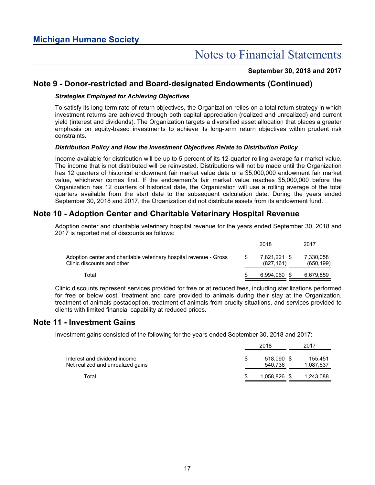### **September 30, 2018 and 2017**

## **Note 9 - Donor-restricted and Board-designated Endowments (Continued)**

#### *Strategies Employed for Achieving Objectives*

To satisfy its long-term rate-of-return objectives, the Organization relies on a total return strategy in which investment returns are achieved through both capital appreciation (realized and unrealized) and current yield (interest and dividends). The Organization targets a diversified asset allocation that places a greater emphasis on equity-based investments to achieve its long-term return objectives within prudent risk constraints.

#### *Distribution Policy and How the Investment Objectives Relate to Distribution Policy*

Income available for distribution will be up to 5 percent of its 12-quarter rolling average fair market value. The income that is not distributed will be reinvested. Distributions will not be made until the Organization has 12 quarters of historical endowment fair market value data or a \$5,000,000 endowment fair market value, whichever comes first. If the endowment's fair market value reaches \$5,000,000 before the Organization has 12 quarters of historical date, the Organization will use a rolling average of the total quarters available from the start date to the subsequent calculation date. During the years ended September 30, 2018 and 2017, the Organization did not distribute assets from its endowment fund.

## **Note 10 - Adoption Center and Charitable Veterinary Hospital Revenue**

Adoption center and charitable veterinary hospital revenue for the years ended September 30, 2018 and 2017 is reported net of discounts as follows:

|                                                                                                  |  | 2018                      | 2017                    |
|--------------------------------------------------------------------------------------------------|--|---------------------------|-------------------------|
| Adoption center and charitable veterinary hospital revenue - Gross<br>Clinic discounts and other |  | 7.821.221 \$<br>(827.161) | 7.330.058<br>(650, 199) |
| Total                                                                                            |  | 6.994.060 \$              | 6.679.859               |

Clinic discounts represent services provided for free or at reduced fees, including sterilizations performed for free or below cost, treatment and care provided to animals during their stay at the Organization, treatment of animals postadoption, treatment of animals from cruelty situations, and services provided to clients with limited financial capability at reduced prices.

### **Note 11 - Investment Gains**

Investment gains consisted of the following for the years ended September 30, 2018 and 2017:

|                                                                   |   | 2018                  | 2017                 |
|-------------------------------------------------------------------|---|-----------------------|----------------------|
| Interest and dividend income<br>Net realized and unrealized gains | S | 518.090 \$<br>540.736 | 155.451<br>1,087,637 |
| Total                                                             |   | 1,058,826 \$          | 1,243,088            |